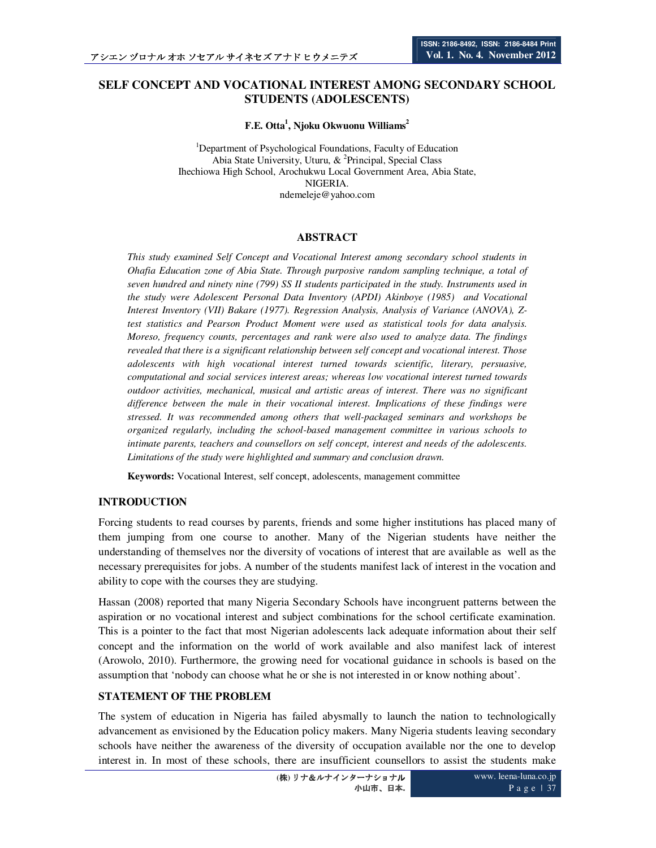## **SELF CONCEPT AND VOCATIONAL INTEREST AMONG SECONDARY SCHOOL STUDENTS (ADOLESCENTS)**

**F.E. Otta<sup>1</sup> , Njoku Okwuonu Williams<sup>2</sup>**

<sup>1</sup>Department of Psychological Foundations, Faculty of Education Abia State University, Uturu, & <sup>2</sup>Principal, Special Class Ihechiowa High School, Arochukwu Local Government Area, Abia State, NIGERIA. ndemeleje@yahoo.com

#### **ABSTRACT**

*This study examined Self Concept and Vocational Interest among secondary school students in Ohafia Education zone of Abia State. Through purposive random sampling technique, a total of seven hundred and ninety nine (799) SS II students participated in the study. Instruments used in the study were Adolescent Personal Data Inventory (APDI) Akinboye (1985) and Vocational Interest Inventory (VII) Bakare (1977). Regression Analysis, Analysis of Variance (ANOVA), Ztest statistics and Pearson Product Moment were used as statistical tools for data analysis. Moreso, frequency counts, percentages and rank were also used to analyze data. The findings revealed that there is a significant relationship between self concept and vocational interest. Those adolescents with high vocational interest turned towards scientific, literary, persuasive, computational and social services interest areas; whereas low vocational interest turned towards outdoor activities, mechanical, musical and artistic areas of interest. There was no significant difference between the male in their vocational interest. Implications of these findings were stressed. It was recommended among others that well-packaged seminars and workshops be organized regularly, including the school-based management committee in various schools to intimate parents, teachers and counsellors on self concept, interest and needs of the adolescents. Limitations of the study were highlighted and summary and conclusion drawn.* 

**Keywords:** Vocational Interest, self concept, adolescents, management committee

#### **INTRODUCTION**

Forcing students to read courses by parents, friends and some higher institutions has placed many of them jumping from one course to another. Many of the Nigerian students have neither the understanding of themselves nor the diversity of vocations of interest that are available as well as the necessary prerequisites for jobs. A number of the students manifest lack of interest in the vocation and ability to cope with the courses they are studying.

Hassan (2008) reported that many Nigeria Secondary Schools have incongruent patterns between the aspiration or no vocational interest and subject combinations for the school certificate examination. This is a pointer to the fact that most Nigerian adolescents lack adequate information about their self concept and the information on the world of work available and also manifest lack of interest (Arowolo, 2010). Furthermore, the growing need for vocational guidance in schools is based on the assumption that 'nobody can choose what he or she is not interested in or know nothing about'.

#### **STATEMENT OF THE PROBLEM**

The system of education in Nigeria has failed abysmally to launch the nation to technologically advancement as envisioned by the Education policy makers. Many Nigeria students leaving secondary schools have neither the awareness of the diversity of occupation available nor the one to develop interest in. In most of these schools, there are insufficient counsellors to assist the students make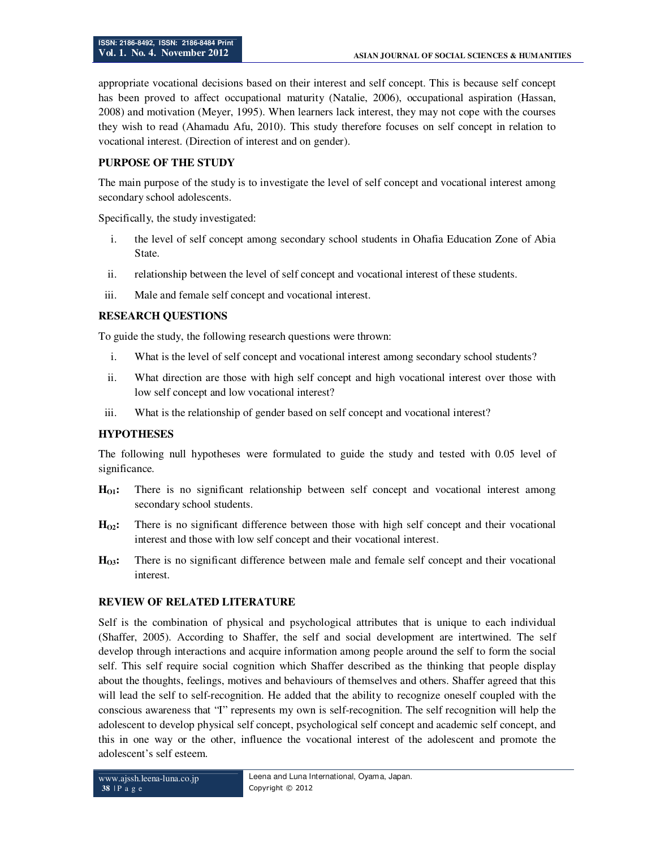appropriate vocational decisions based on their interest and self concept. This is because self concept has been proved to affect occupational maturity (Natalie, 2006), occupational aspiration (Hassan, 2008) and motivation (Meyer, 1995). When learners lack interest, they may not cope with the courses they wish to read (Ahamadu Afu, 2010). This study therefore focuses on self concept in relation to vocational interest. (Direction of interest and on gender).

#### **PURPOSE OF THE STUDY**

The main purpose of the study is to investigate the level of self concept and vocational interest among secondary school adolescents.

Specifically, the study investigated:

- i. the level of self concept among secondary school students in Ohafia Education Zone of Abia State.
- ii. relationship between the level of self concept and vocational interest of these students.
- iii. Male and female self concept and vocational interest.

### **RESEARCH QUESTIONS**

To guide the study, the following research questions were thrown:

- i. What is the level of self concept and vocational interest among secondary school students?
- ii. What direction are those with high self concept and high vocational interest over those with low self concept and low vocational interest?
- iii. What is the relationship of gender based on self concept and vocational interest?

## **HYPOTHESES**

The following null hypotheses were formulated to guide the study and tested with 0.05 level of significance.

- **HO1:** There is no significant relationship between self concept and vocational interest among secondary school students.
- **HO2:** There is no significant difference between those with high self concept and their vocational interest and those with low self concept and their vocational interest.
- **HO3:** There is no significant difference between male and female self concept and their vocational interest.

## **REVIEW OF RELATED LITERATURE**

Self is the combination of physical and psychological attributes that is unique to each individual (Shaffer, 2005). According to Shaffer, the self and social development are intertwined. The self develop through interactions and acquire information among people around the self to form the social self. This self require social cognition which Shaffer described as the thinking that people display about the thoughts, feelings, motives and behaviours of themselves and others. Shaffer agreed that this will lead the self to self-recognition. He added that the ability to recognize oneself coupled with the conscious awareness that "I" represents my own is self-recognition. The self recognition will help the adolescent to develop physical self concept, psychological self concept and academic self concept, and this in one way or the other, influence the vocational interest of the adolescent and promote the adolescent's self esteem.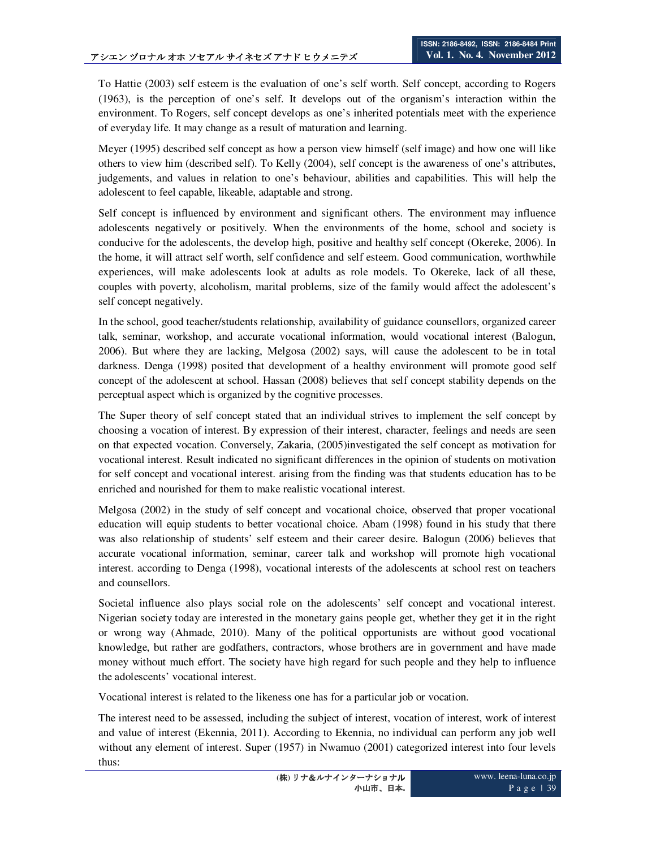To Hattie (2003) self esteem is the evaluation of one's self worth. Self concept, according to Rogers (1963), is the perception of one's self. It develops out of the organism's interaction within the environment. To Rogers, self concept develops as one's inherited potentials meet with the experience of everyday life. It may change as a result of maturation and learning.

Meyer (1995) described self concept as how a person view himself (self image) and how one will like others to view him (described self). To Kelly (2004), self concept is the awareness of one's attributes, judgements, and values in relation to one's behaviour, abilities and capabilities. This will help the adolescent to feel capable, likeable, adaptable and strong.

Self concept is influenced by environment and significant others. The environment may influence adolescents negatively or positively. When the environments of the home, school and society is conducive for the adolescents, the develop high, positive and healthy self concept (Okereke, 2006). In the home, it will attract self worth, self confidence and self esteem. Good communication, worthwhile experiences, will make adolescents look at adults as role models. To Okereke, lack of all these, couples with poverty, alcoholism, marital problems, size of the family would affect the adolescent's self concept negatively.

In the school, good teacher/students relationship, availability of guidance counsellors, organized career talk, seminar, workshop, and accurate vocational information, would vocational interest (Balogun, 2006). But where they are lacking, Melgosa (2002) says, will cause the adolescent to be in total darkness. Denga (1998) posited that development of a healthy environment will promote good self concept of the adolescent at school. Hassan (2008) believes that self concept stability depends on the perceptual aspect which is organized by the cognitive processes.

The Super theory of self concept stated that an individual strives to implement the self concept by choosing a vocation of interest. By expression of their interest, character, feelings and needs are seen on that expected vocation. Conversely, Zakaria, (2005)investigated the self concept as motivation for vocational interest. Result indicated no significant differences in the opinion of students on motivation for self concept and vocational interest. arising from the finding was that students education has to be enriched and nourished for them to make realistic vocational interest.

Melgosa (2002) in the study of self concept and vocational choice, observed that proper vocational education will equip students to better vocational choice. Abam (1998) found in his study that there was also relationship of students' self esteem and their career desire. Balogun (2006) believes that accurate vocational information, seminar, career talk and workshop will promote high vocational interest. according to Denga (1998), vocational interests of the adolescents at school rest on teachers and counsellors.

Societal influence also plays social role on the adolescents' self concept and vocational interest. Nigerian society today are interested in the monetary gains people get, whether they get it in the right or wrong way (Ahmade, 2010). Many of the political opportunists are without good vocational knowledge, but rather are godfathers, contractors, whose brothers are in government and have made money without much effort. The society have high regard for such people and they help to influence the adolescents' vocational interest.

Vocational interest is related to the likeness one has for a particular job or vocation.

The interest need to be assessed, including the subject of interest, vocation of interest, work of interest and value of interest (Ekennia, 2011). According to Ekennia, no individual can perform any job well without any element of interest. Super (1957) in Nwamuo (2001) categorized interest into four levels thus: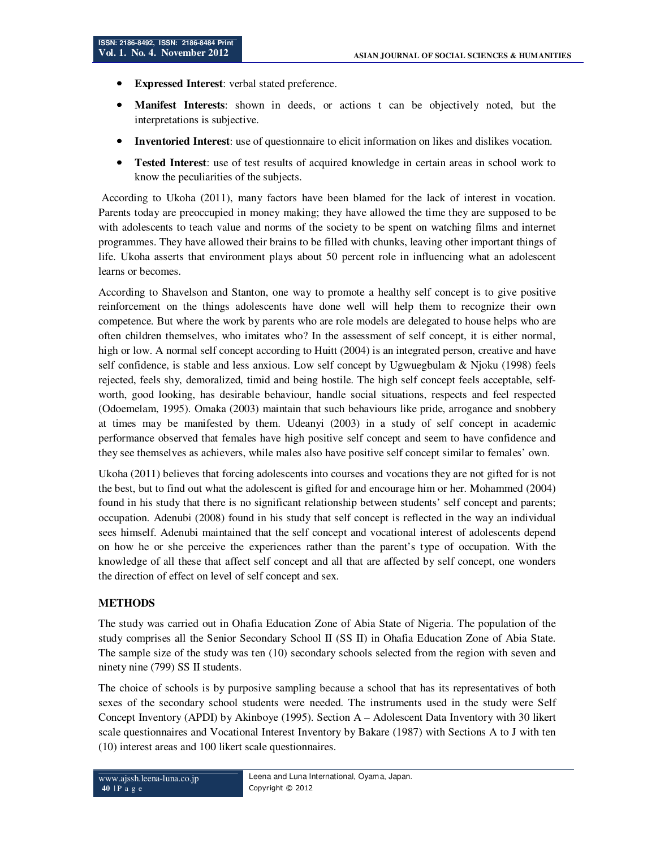- **Expressed Interest:** verbal stated preference.
- **Manifest Interests**: shown in deeds, or actions t can be objectively noted, but the interpretations is subjective.
- **Inventoried Interest**: use of questionnaire to elicit information on likes and dislikes vocation.
- **Tested Interest**: use of test results of acquired knowledge in certain areas in school work to know the peculiarities of the subjects.

 According to Ukoha (2011), many factors have been blamed for the lack of interest in vocation. Parents today are preoccupied in money making; they have allowed the time they are supposed to be with adolescents to teach value and norms of the society to be spent on watching films and internet programmes. They have allowed their brains to be filled with chunks, leaving other important things of life. Ukoha asserts that environment plays about 50 percent role in influencing what an adolescent learns or becomes.

According to Shavelson and Stanton, one way to promote a healthy self concept is to give positive reinforcement on the things adolescents have done well will help them to recognize their own competence. But where the work by parents who are role models are delegated to house helps who are often children themselves, who imitates who? In the assessment of self concept, it is either normal, high or low. A normal self concept according to Huitt (2004) is an integrated person, creative and have self confidence, is stable and less anxious. Low self concept by Ugwuegbulam & Njoku (1998) feels rejected, feels shy, demoralized, timid and being hostile. The high self concept feels acceptable, selfworth, good looking, has desirable behaviour, handle social situations, respects and feel respected (Odoemelam, 1995). Omaka (2003) maintain that such behaviours like pride, arrogance and snobbery at times may be manifested by them. Udeanyi (2003) in a study of self concept in academic performance observed that females have high positive self concept and seem to have confidence and they see themselves as achievers, while males also have positive self concept similar to females' own.

Ukoha (2011) believes that forcing adolescents into courses and vocations they are not gifted for is not the best, but to find out what the adolescent is gifted for and encourage him or her. Mohammed (2004) found in his study that there is no significant relationship between students' self concept and parents; occupation. Adenubi (2008) found in his study that self concept is reflected in the way an individual sees himself. Adenubi maintained that the self concept and vocational interest of adolescents depend on how he or she perceive the experiences rather than the parent's type of occupation. With the knowledge of all these that affect self concept and all that are affected by self concept, one wonders the direction of effect on level of self concept and sex.

# **METHODS**

The study was carried out in Ohafia Education Zone of Abia State of Nigeria. The population of the study comprises all the Senior Secondary School II (SS II) in Ohafia Education Zone of Abia State. The sample size of the study was ten (10) secondary schools selected from the region with seven and ninety nine (799) SS II students.

The choice of schools is by purposive sampling because a school that has its representatives of both sexes of the secondary school students were needed. The instruments used in the study were Self Concept Inventory (APDI) by Akinboye (1995). Section A – Adolescent Data Inventory with 30 likert scale questionnaires and Vocational Interest Inventory by Bakare (1987) with Sections A to J with ten (10) interest areas and 100 likert scale questionnaires.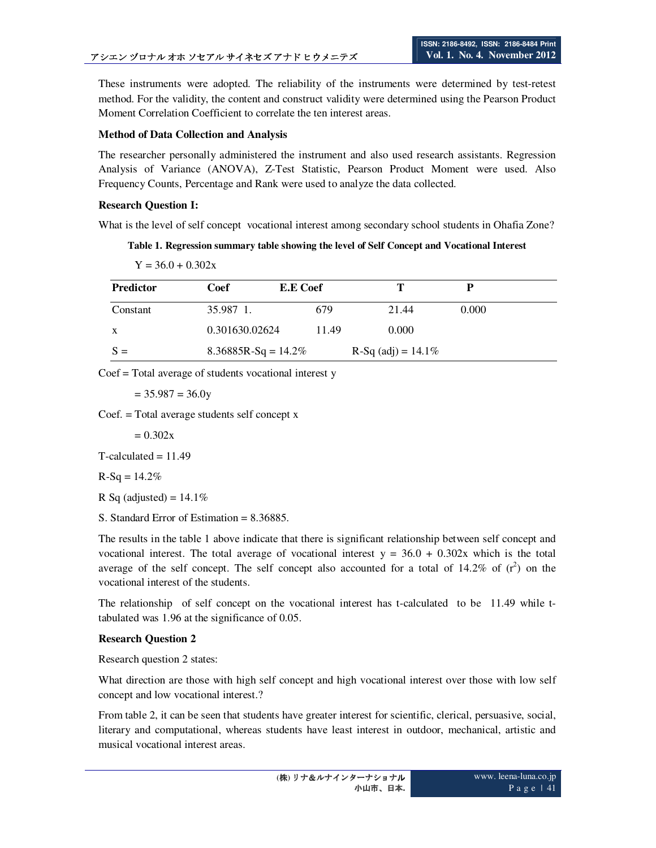These instruments were adopted. The reliability of the instruments were determined by test-retest method. For the validity, the content and construct validity were determined using the Pearson Product Moment Correlation Coefficient to correlate the ten interest areas.

### **Method of Data Collection and Analysis**

The researcher personally administered the instrument and also used research assistants. Regression Analysis of Variance (ANOVA), Z-Test Statistic, Pearson Product Moment were used. Also Frequency Counts, Percentage and Rank were used to analyze the data collected.

### **Research Question I:**

What is the level of self concept vocational interest among secondary school students in Ohafia Zone?

### **Table 1. Regression summary table showing the level of Self Concept and Vocational Interest**

Predictor Coef E.E Coef T P Constant 35.987 1. 679 21.44 0.000 x 0.301630.02624 11.49 0.000  $S =$  8.36885R-Sq = 14.2% R-Sq (adj) = 14.1%

Coef = Total average of students vocational interest y

 $= 35.987 = 36.0y$ 

 $Y = 36.0 + 0.302x$ 

Coef. = Total average students self concept x

 $= 0.302x$ 

 $T$ -calculated  $= 11.49$ 

 $R-Sq = 14.2%$ 

R Sq (adjusted) =  $14.1\%$ 

S. Standard Error of Estimation = 8.36885.

The results in the table 1 above indicate that there is significant relationship between self concept and vocational interest. The total average of vocational interest  $y = 36.0 + 0.302x$  which is the total average of the self concept. The self concept also accounted for a total of  $14.2\%$  of  $(r^2)$  on the vocational interest of the students.

The relationship of self concept on the vocational interest has t-calculated to be 11.49 while ttabulated was 1.96 at the significance of 0.05.

## **Research Question 2**

Research question 2 states:

What direction are those with high self concept and high vocational interest over those with low self concept and low vocational interest.?

From table 2, it can be seen that students have greater interest for scientific, clerical, persuasive, social, literary and computational, whereas students have least interest in outdoor, mechanical, artistic and musical vocational interest areas.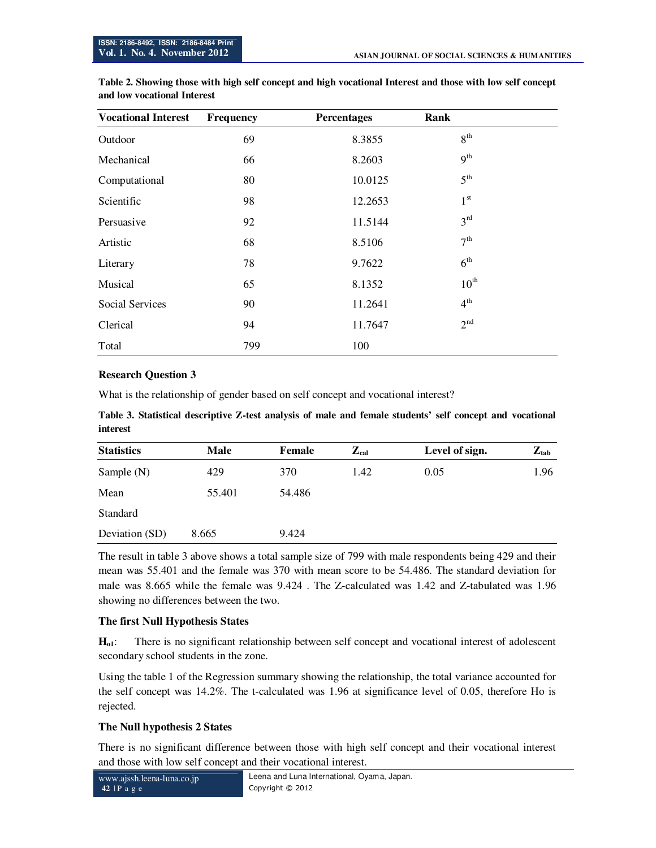| <b>Vocational Interest</b> | Frequency | <b>Percentages</b> | Rank             |  |
|----------------------------|-----------|--------------------|------------------|--|
| Outdoor                    | 69        | 8.3855             | 8 <sup>th</sup>  |  |
| Mechanical                 | 66        | 8.2603             | 9 <sup>th</sup>  |  |
| Computational              | 80        | 10.0125            | 5 <sup>th</sup>  |  |
| Scientific                 | 98        | 12.2653            | 1 <sup>st</sup>  |  |
| Persuasive                 | 92        | 11.5144            | 3 <sup>rd</sup>  |  |
| Artistic                   | 68        | 8.5106             | 7 <sup>th</sup>  |  |
| Literary                   | 78        | 9.7622             | 6 <sup>th</sup>  |  |
| Musical                    | 65        | 8.1352             | $10^{\text{th}}$ |  |
| Social Services            | 90        | 11.2641            | $4^{\text{th}}$  |  |
| Clerical                   | 94        | 11.7647            | 2 <sup>nd</sup>  |  |
| Total                      | 799       | 100                |                  |  |

**Table 2. Showing those with high self concept and high vocational Interest and those with low self concept and low vocational Interest** 

## **Research Question 3**

What is the relationship of gender based on self concept and vocational interest?

**Table 3. Statistical descriptive Z-test analysis of male and female students' self concept and vocational interest** 

| <b>Statistics</b> | Male   | Female | $Z_{cal}$ | Level of sign. | $Z_{\text{tab}}$ |
|-------------------|--------|--------|-----------|----------------|------------------|
| Sample $(N)$      | 429    | 370    | 1.42      | 0.05           | 1.96             |
| Mean              | 55.401 | 54.486 |           |                |                  |
| Standard          |        |        |           |                |                  |
| Deviation (SD)    | 8.665  | 9.424  |           |                |                  |

The result in table 3 above shows a total sample size of 799 with male respondents being 429 and their mean was 55.401 and the female was 370 with mean score to be 54.486. The standard deviation for male was 8.665 while the female was 9.424 . The Z-calculated was 1.42 and Z-tabulated was 1.96 showing no differences between the two.

## **The first Null Hypothesis States**

**Ho1**: There is no significant relationship between self concept and vocational interest of adolescent secondary school students in the zone.

Using the table 1 of the Regression summary showing the relationship, the total variance accounted for the self concept was 14.2%. The t-calculated was 1.96 at significance level of 0.05, therefore Ho is rejected.

## **The Null hypothesis 2 States**

There is no significant difference between those with high self concept and their vocational interest and those with low self concept and their vocational interest.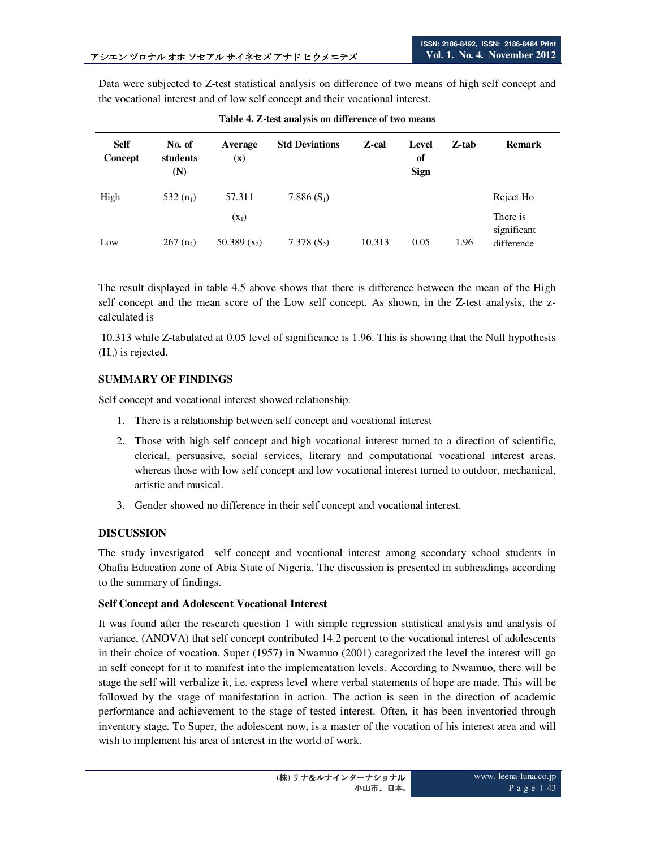Data were subjected to Z-test statistical analysis on difference of two means of high self concept and the vocational interest and of low self concept and their vocational interest.

| <b>Self</b><br>Concept | No. of<br>students<br>(N) | Average<br>$(\mathbf{x})$ | <b>Std Deviations</b> | Z-cal  | Level<br>of<br><b>Sign</b> | Z-tab | <b>Remark</b>           |
|------------------------|---------------------------|---------------------------|-----------------------|--------|----------------------------|-------|-------------------------|
| High                   | 532 $(n_1)$               | 57.311                    | 7.886 $(S_1)$         |        |                            |       | Reject Ho               |
|                        |                           | $(x_1)$                   |                       |        |                            |       | There is<br>significant |
| Low                    | $267(n_2)$                | 50.389 $(x_2)$            | $7.378(S_2)$          | 10.313 | 0.05                       | 1.96  | difference              |

**Table 4. Z-test analysis on difference of two means**

The result displayed in table 4.5 above shows that there is difference between the mean of the High self concept and the mean score of the Low self concept. As shown, in the Z-test analysis, the zcalculated is

 10.313 while Z-tabulated at 0.05 level of significance is 1.96. This is showing that the Null hypothesis  $(H<sub>o</sub>)$  is rejected.

### **SUMMARY OF FINDINGS**

Self concept and vocational interest showed relationship.

- 1. There is a relationship between self concept and vocational interest
- 2. Those with high self concept and high vocational interest turned to a direction of scientific, clerical, persuasive, social services, literary and computational vocational interest areas, whereas those with low self concept and low vocational interest turned to outdoor, mechanical, artistic and musical.
- 3. Gender showed no difference in their self concept and vocational interest.

## **DISCUSSION**

The study investigated self concept and vocational interest among secondary school students in Ohafia Education zone of Abia State of Nigeria. The discussion is presented in subheadings according to the summary of findings.

#### **Self Concept and Adolescent Vocational Interest**

It was found after the research question 1 with simple regression statistical analysis and analysis of variance, (ANOVA) that self concept contributed 14.2 percent to the vocational interest of adolescents in their choice of vocation. Super (1957) in Nwamuo (2001) categorized the level the interest will go in self concept for it to manifest into the implementation levels. According to Nwamuo, there will be stage the self will verbalize it, i.e. express level where verbal statements of hope are made. This will be followed by the stage of manifestation in action. The action is seen in the direction of academic performance and achievement to the stage of tested interest. Often, it has been inventoried through inventory stage. To Super, the adolescent now, is a master of the vocation of his interest area and will wish to implement his area of interest in the world of work.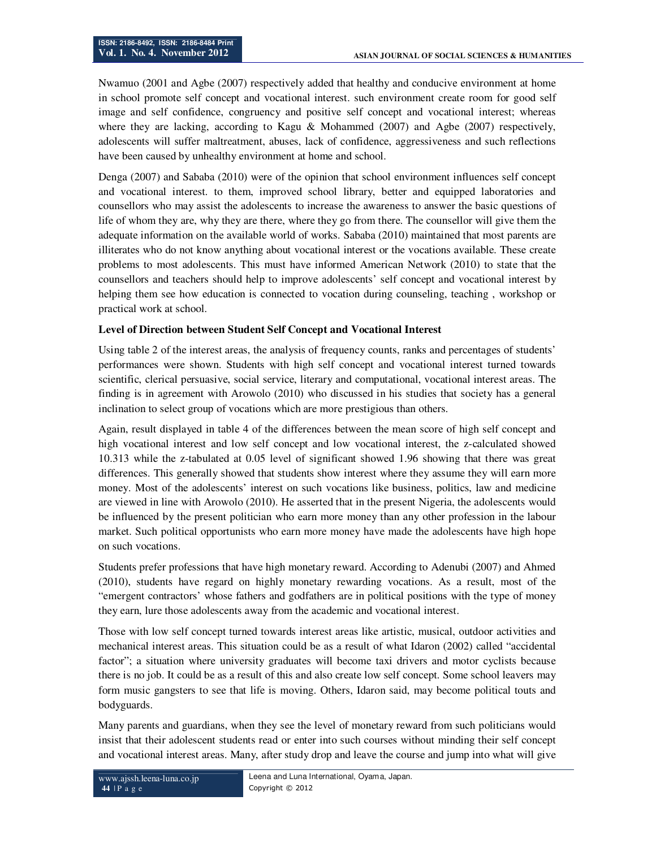Nwamuo (2001 and Agbe (2007) respectively added that healthy and conducive environment at home in school promote self concept and vocational interest. such environment create room for good self image and self confidence, congruency and positive self concept and vocational interest; whereas where they are lacking, according to Kagu & Mohammed (2007) and Agbe (2007) respectively, adolescents will suffer maltreatment, abuses, lack of confidence, aggressiveness and such reflections have been caused by unhealthy environment at home and school.

Denga (2007) and Sababa (2010) were of the opinion that school environment influences self concept and vocational interest. to them, improved school library, better and equipped laboratories and counsellors who may assist the adolescents to increase the awareness to answer the basic questions of life of whom they are, why they are there, where they go from there. The counsellor will give them the adequate information on the available world of works. Sababa (2010) maintained that most parents are illiterates who do not know anything about vocational interest or the vocations available. These create problems to most adolescents. This must have informed American Network (2010) to state that the counsellors and teachers should help to improve adolescents' self concept and vocational interest by helping them see how education is connected to vocation during counseling, teaching , workshop or practical work at school.

## **Level of Direction between Student Self Concept and Vocational Interest**

Using table 2 of the interest areas, the analysis of frequency counts, ranks and percentages of students' performances were shown. Students with high self concept and vocational interest turned towards scientific, clerical persuasive, social service, literary and computational, vocational interest areas. The finding is in agreement with Arowolo (2010) who discussed in his studies that society has a general inclination to select group of vocations which are more prestigious than others.

Again, result displayed in table 4 of the differences between the mean score of high self concept and high vocational interest and low self concept and low vocational interest, the z-calculated showed 10.313 while the z-tabulated at 0.05 level of significant showed 1.96 showing that there was great differences. This generally showed that students show interest where they assume they will earn more money. Most of the adolescents' interest on such vocations like business, politics, law and medicine are viewed in line with Arowolo (2010). He asserted that in the present Nigeria, the adolescents would be influenced by the present politician who earn more money than any other profession in the labour market. Such political opportunists who earn more money have made the adolescents have high hope on such vocations.

Students prefer professions that have high monetary reward. According to Adenubi (2007) and Ahmed (2010), students have regard on highly monetary rewarding vocations. As a result, most of the "emergent contractors' whose fathers and godfathers are in political positions with the type of money they earn, lure those adolescents away from the academic and vocational interest.

Those with low self concept turned towards interest areas like artistic, musical, outdoor activities and mechanical interest areas. This situation could be as a result of what Idaron (2002) called "accidental factor"; a situation where university graduates will become taxi drivers and motor cyclists because there is no job. It could be as a result of this and also create low self concept. Some school leavers may form music gangsters to see that life is moving. Others, Idaron said, may become political touts and bodyguards.

Many parents and guardians, when they see the level of monetary reward from such politicians would insist that their adolescent students read or enter into such courses without minding their self concept and vocational interest areas. Many, after study drop and leave the course and jump into what will give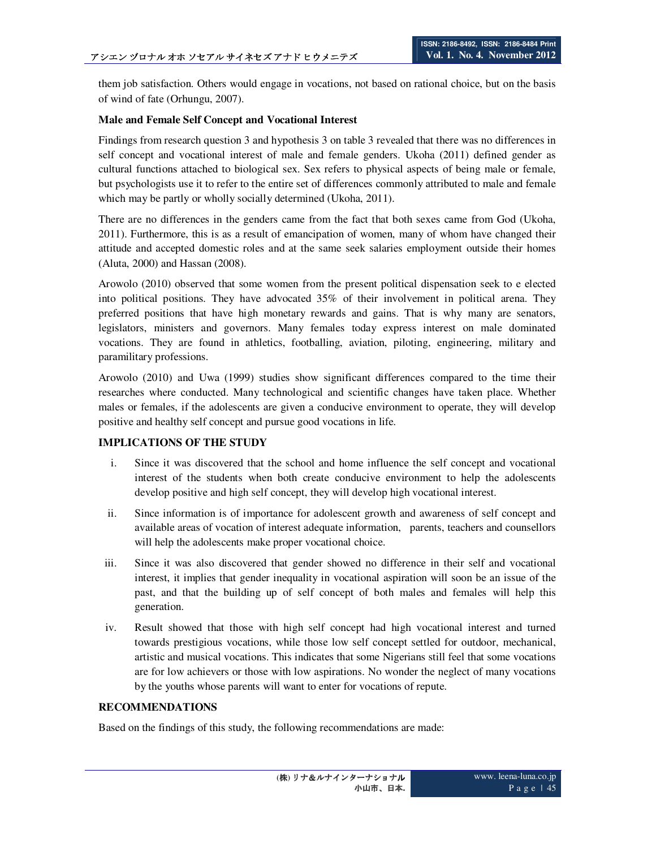them job satisfaction. Others would engage in vocations, not based on rational choice, but on the basis of wind of fate (Orhungu, 2007).

### **Male and Female Self Concept and Vocational Interest**

Findings from research question 3 and hypothesis 3 on table 3 revealed that there was no differences in self concept and vocational interest of male and female genders. Ukoha (2011) defined gender as cultural functions attached to biological sex. Sex refers to physical aspects of being male or female, but psychologists use it to refer to the entire set of differences commonly attributed to male and female which may be partly or wholly socially determined (Ukoha, 2011).

There are no differences in the genders came from the fact that both sexes came from God (Ukoha, 2011). Furthermore, this is as a result of emancipation of women, many of whom have changed their attitude and accepted domestic roles and at the same seek salaries employment outside their homes (Aluta, 2000) and Hassan (2008).

Arowolo (2010) observed that some women from the present political dispensation seek to e elected into political positions. They have advocated 35% of their involvement in political arena. They preferred positions that have high monetary rewards and gains. That is why many are senators, legislators, ministers and governors. Many females today express interest on male dominated vocations. They are found in athletics, footballing, aviation, piloting, engineering, military and paramilitary professions.

Arowolo (2010) and Uwa (1999) studies show significant differences compared to the time their researches where conducted. Many technological and scientific changes have taken place. Whether males or females, if the adolescents are given a conducive environment to operate, they will develop positive and healthy self concept and pursue good vocations in life.

## **IMPLICATIONS OF THE STUDY**

- i. Since it was discovered that the school and home influence the self concept and vocational interest of the students when both create conducive environment to help the adolescents develop positive and high self concept, they will develop high vocational interest.
- ii. Since information is of importance for adolescent growth and awareness of self concept and available areas of vocation of interest adequate information, parents, teachers and counsellors will help the adolescents make proper vocational choice.
- iii. Since it was also discovered that gender showed no difference in their self and vocational interest, it implies that gender inequality in vocational aspiration will soon be an issue of the past, and that the building up of self concept of both males and females will help this generation.
- iv. Result showed that those with high self concept had high vocational interest and turned towards prestigious vocations, while those low self concept settled for outdoor, mechanical, artistic and musical vocations. This indicates that some Nigerians still feel that some vocations are for low achievers or those with low aspirations. No wonder the neglect of many vocations by the youths whose parents will want to enter for vocations of repute.

### **RECOMMENDATIONS**

Based on the findings of this study, the following recommendations are made: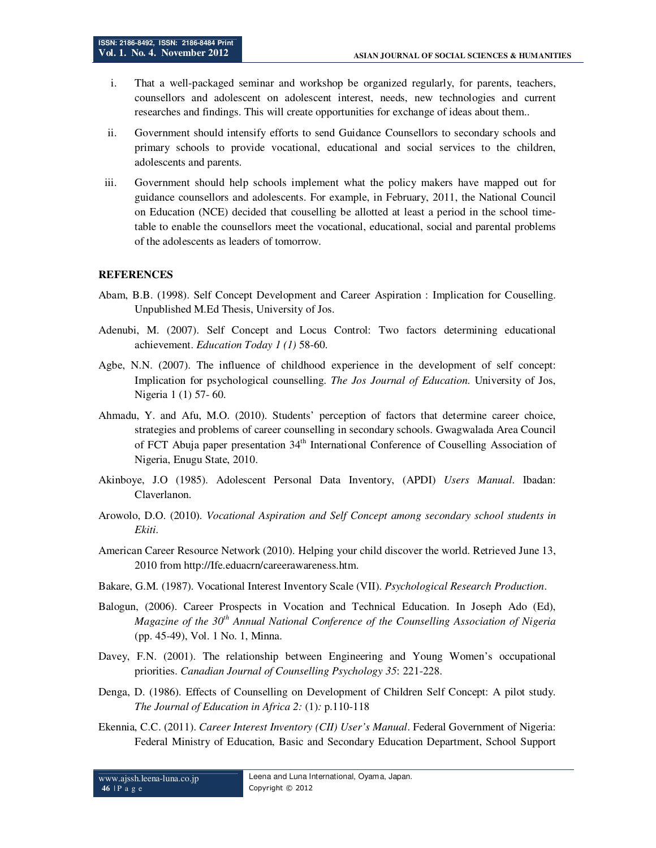- i. That a well-packaged seminar and workshop be organized regularly, for parents, teachers, counsellors and adolescent on adolescent interest, needs, new technologies and current researches and findings. This will create opportunities for exchange of ideas about them..
- ii. Government should intensify efforts to send Guidance Counsellors to secondary schools and primary schools to provide vocational, educational and social services to the children, adolescents and parents.
- iii. Government should help schools implement what the policy makers have mapped out for guidance counsellors and adolescents. For example, in February, 2011, the National Council on Education (NCE) decided that couselling be allotted at least a period in the school timetable to enable the counsellors meet the vocational, educational, social and parental problems of the adolescents as leaders of tomorrow.

#### **REFERENCES**

- Abam, B.B. (1998). Self Concept Development and Career Aspiration : Implication for Couselling. Unpublished M.Ed Thesis, University of Jos.
- Adenubi, M. (2007). Self Concept and Locus Control: Two factors determining educational achievement. *Education Today 1 (1)* 58-60.
- Agbe, N.N. (2007). The influence of childhood experience in the development of self concept: Implication for psychological counselling. *The Jos Journal of Education.* University of Jos, Nigeria 1 (1) 57- 60.
- Ahmadu, Y. and Afu, M.O. (2010). Students' perception of factors that determine career choice, strategies and problems of career counselling in secondary schools. Gwagwalada Area Council of FCT Abuja paper presentation 34<sup>th</sup> International Conference of Couselling Association of Nigeria, Enugu State, 2010.
- Akinboye, J.O (1985). Adolescent Personal Data Inventory, (APDI) *Users Manual*. Ibadan: Claverlanon.
- Arowolo, D.O. (2010). *Vocational Aspiration and Self Concept among secondary school students in Ekiti*.
- American Career Resource Network (2010). Helping your child discover the world. Retrieved June 13, 2010 from http://Ife.eduacrn/careerawareness.htm.
- Bakare, G.M. (1987). Vocational Interest Inventory Scale (VII). *Psychological Research Production*.
- Balogun, (2006). Career Prospects in Vocation and Technical Education. In Joseph Ado (Ed), *Magazine of the 30th Annual National Conference of the Counselling Association of Nigeria* (pp. 45-49), Vol. 1 No. 1, Minna.
- Davey, F.N. (2001). The relationship between Engineering and Young Women's occupational priorities. *Canadian Journal of Counselling Psychology 35*: 221-228.
- Denga, D. (1986). Effects of Counselling on Development of Children Self Concept: A pilot study. *The Journal of Education in Africa 2:* (1)*:* p.110-118
- Ekennia, C.C. (2011). *Career Interest Inventory (CII) User's Manual*. Federal Government of Nigeria: Federal Ministry of Education, Basic and Secondary Education Department, School Support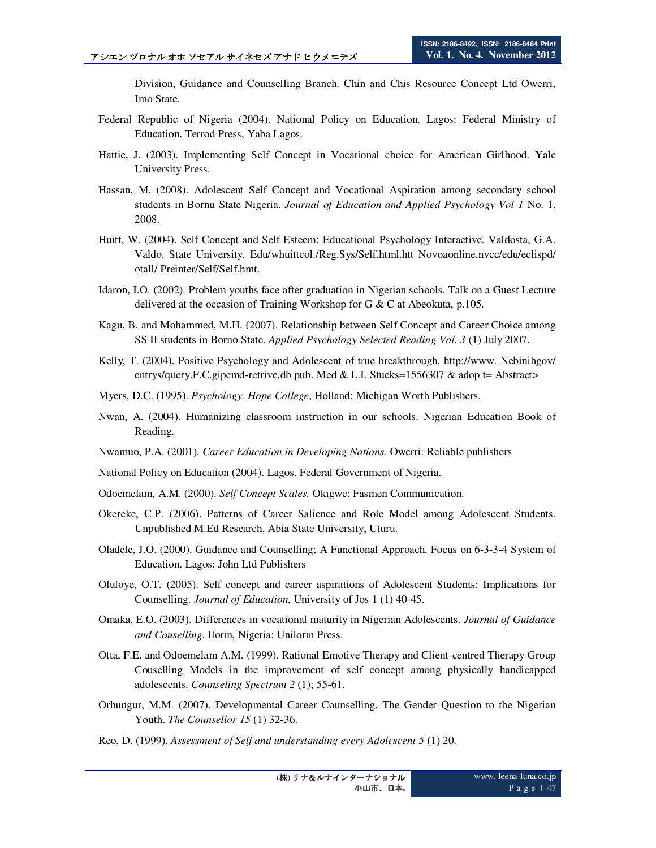Division, Guidance and Counselling Branch. Chin and Chis Resource Concept Ltd Owerri, Imo State.

- Federal Republic of Nigeria (2004). National Policy on Education. Lagos: Federal Ministry of Education. Terrod Press, Yaba Lagos.
- Hattie, J. (2003). Implementing Self Concept in Vocational choice for American Girlhood. Yale University Press.
- Hassan, M. (2008). Adolescent Self Concept and Vocational Aspiration among secondary school students in Bornu State Nigeria. *Journal of Education and Applied Psychology Vol 1* No. 1, 2008.
- Huitt, W. (2004). Self Concept and Self Esteem: Educational Psychology Interactive. Valdosta, G.A. Valdo. State University. Edu/whuittcol./Reg.Sys/Self.html.htt Novoaonline.nvcc/edu/eclispd/ otall/ Preinter/Self/Self.hmt.
- Idaron, I.O. (2002). Problem youths face after graduation in Nigerian schools. Talk on a Guest Lecture delivered at the occasion of Training Workshop for G & C at Abeokuta, p.105.
- Kagu, B. and Mohammed, M.H. (2007). Relationship between Self Concept and Career Choice among SS II students in Borno State. *Applied Psychology Selected Reading Vol. 3* (1) July 2007.
- Kelly, T. (2004). Positive Psychology and Adolescent of true breakthrough. http://www. Nebinihgov/ entrys/query.F.C.gipemd-retrive.db pub. Med & L.I. Stucks=1556307 & adop t= Abstract>
- Myers, D.C. (1995). *Psychology. Hope College*, Holland: Michigan Worth Publishers.
- Nwan, A. (2004). Humanizing classroom instruction in our schools. Nigerian Education Book of Reading.
- Nwamuo, P.A. (2001). *Career Education in Developing Nations.* Owerri: Reliable publishers
- National Policy on Education (2004). Lagos. Federal Government of Nigeria.
- Odoemelam, A.M. (2000). *Self Concept Scales.* Okigwe: Fasmen Communication.
- Okereke, C.P. (2006). Patterns of Career Salience and Role Model among Adolescent Students. Unpublished M.Ed Research, Abia State University, Uturu.
- Oladele, J.O. (2000). Guidance and Counselling; A Functional Approach. Focus on 6-3-3-4 System of Education. Lagos: John Ltd Publishers
- Oluloye, O.T. (2005). Self concept and career aspirations of Adolescent Students: Implications for Counselling. *Journal of Education*, University of Jos 1 (1) 40-45.
- Omaka, E.O. (2003). Differences in vocational maturity in Nigerian Adolescents. *Journal of Guidance and Couselling*. Ilorin, Nigeria: Unilorin Press.
- Otta, F.E. and Odoemelam A.M. (1999). Rational Emotive Therapy and Client-centred Therapy Group Couselling Models in the improvement of self concept among physically handicapped adolescents. *Counseling Spectrum 2* (1); 55-61.
- Orhungur, M.M. (2007). Developmental Career Counselling. The Gender Question to the Nigerian Youth. *The Counsellor 15* (1) 32-36.
- Reo, D. (1999). *Assessment of Self and understanding every Adolescent 5* (1) 20.